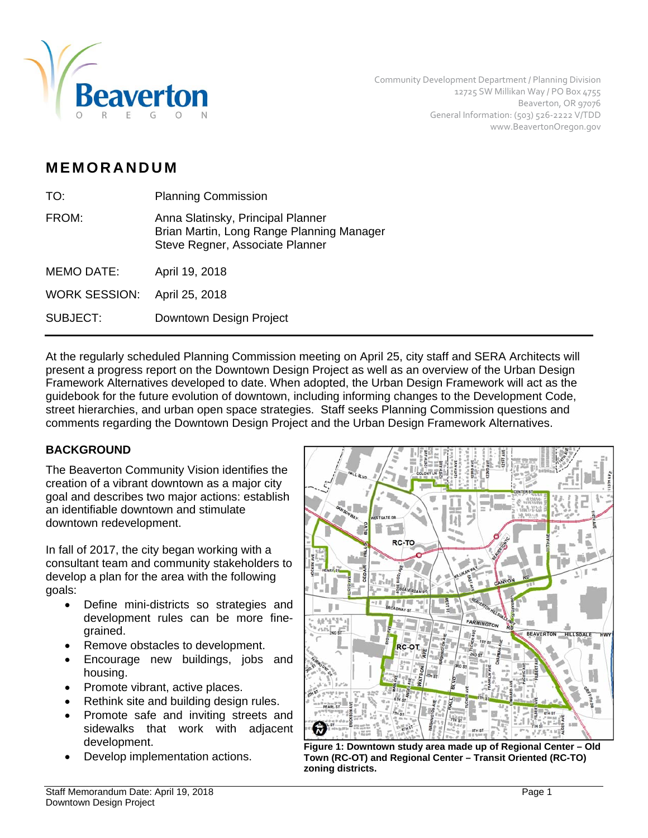

# **MEMORANDUM**

| TO:                  | <b>Planning Commission</b>                                                                                        |  |
|----------------------|-------------------------------------------------------------------------------------------------------------------|--|
| FROM:                | Anna Slatinsky, Principal Planner<br>Brian Martin, Long Range Planning Manager<br>Steve Regner, Associate Planner |  |
| <b>MEMO DATE:</b>    | April 19, 2018                                                                                                    |  |
| <b>WORK SESSION:</b> | April 25, 2018                                                                                                    |  |
| <b>SUBJECT:</b>      | Downtown Design Project                                                                                           |  |

At the regularly scheduled Planning Commission meeting on April 25, city staff and SERA Architects will present a progress report on the Downtown Design Project as well as an overview of the Urban Design Framework Alternatives developed to date. When adopted, the Urban Design Framework will act as the guidebook for the future evolution of downtown, including informing changes to the Development Code, street hierarchies, and urban open space strategies. Staff seeks Planning Commission questions and comments regarding the Downtown Design Project and the Urban Design Framework Alternatives.

## **BACKGROUND**

The Beaverton Community Vision identifies the creation of a vibrant downtown as a major city goal and describes two major actions: establish an identifiable downtown and stimulate downtown redevelopment.

In fall of 2017, the city began working with a consultant team and community stakeholders to develop a plan for the area with the following goals:

- Define mini-districts so strategies and development rules can be more finegrained.
- Remove obstacles to development.
- Encourage new buildings, jobs and housing.
- Promote vibrant, active places.
- Rethink site and building design rules.
- Promote safe and inviting streets and sidewalks that work with adjacent development.
- 



 Develop implementation actions. **Figure 1: Downtown study area made up of Regional Center – Old Town (RC-OT) and Regional Center – Transit Oriented (RC-TO) zoning districts.**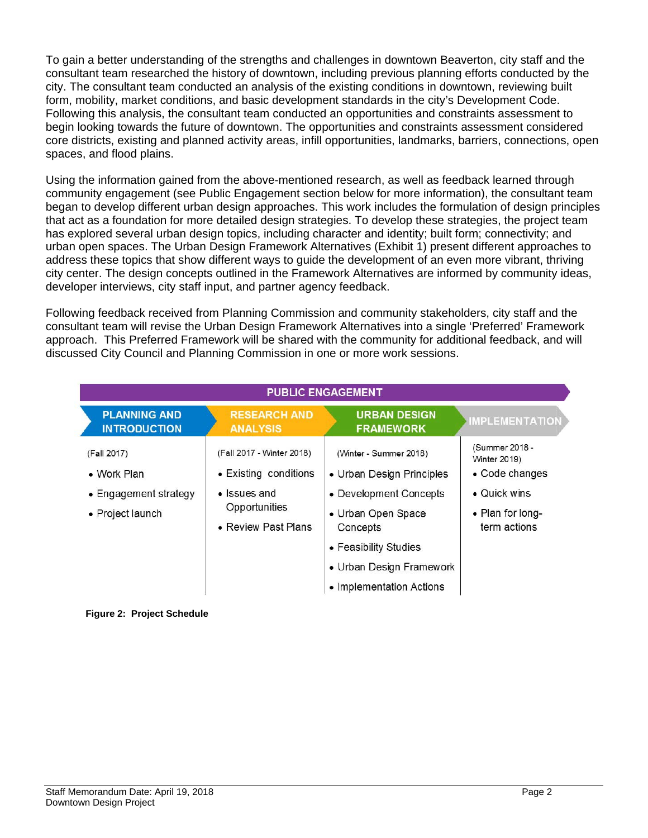To gain a better understanding of the strengths and challenges in downtown Beaverton, city staff and the consultant team researched the history of downtown, including previous planning efforts conducted by the city. The consultant team conducted an analysis of the existing conditions in downtown, reviewing built form, mobility, market conditions, and basic development standards in the city's Development Code. Following this analysis, the consultant team conducted an opportunities and constraints assessment to begin looking towards the future of downtown. The opportunities and constraints assessment considered core districts, existing and planned activity areas, infill opportunities, landmarks, barriers, connections, open spaces, and flood plains.

Using the information gained from the above-mentioned research, as well as feedback learned through community engagement (see Public Engagement section below for more information), the consultant team began to develop different urban design approaches. This work includes the formulation of design principles that act as a foundation for more detailed design strategies. To develop these strategies, the project team has explored several urban design topics, including character and identity; built form; connectivity; and urban open spaces. The Urban Design Framework Alternatives (Exhibit 1) present different approaches to address these topics that show different ways to guide the development of an even more vibrant, thriving city center. The design concepts outlined in the Framework Alternatives are informed by community ideas, developer interviews, city staff input, and partner agency feedback.

Following feedback received from Planning Commission and community stakeholders, city staff and the consultant team will revise the Urban Design Framework Alternatives into a single 'Preferred' Framework approach. This Preferred Framework will be shared with the community for additional feedback, and will discussed City Council and Planning Commission in one or more work sessions.

| <b>PUBLIC ENGAGEMENT</b>                                                |                                                                                                            |                                                                                                                                                                                                  |                                                                                                              |
|-------------------------------------------------------------------------|------------------------------------------------------------------------------------------------------------|--------------------------------------------------------------------------------------------------------------------------------------------------------------------------------------------------|--------------------------------------------------------------------------------------------------------------|
| <b>PLANNING AND</b><br><b>INTRODUCTION</b>                              | <b>RESEARCH AND</b><br><b>ANALYSIS</b>                                                                     | <b>URBAN DESIGN</b><br><b>FRAMEWORK</b>                                                                                                                                                          | IMPLEMENTATION                                                                                               |
| (Fall 2017)<br>• Work Plan<br>• Engagement strategy<br>• Project launch | (Fall 2017 - Winter 2018)<br>• Existing conditions<br>• Issues and<br>Opportunities<br>• Review Past Plans | (Winter - Summer 2018)<br>• Urban Design Principles<br>• Development Concepts<br>• Urban Open Space<br>Concepts<br>• Feasibility Studies<br>• Urban Design Framework<br>• Implementation Actions | (Summer 2018 -<br><b>Winter 2019</b> )<br>• Code changes<br>• Quick wins<br>• Plan for long-<br>term actions |

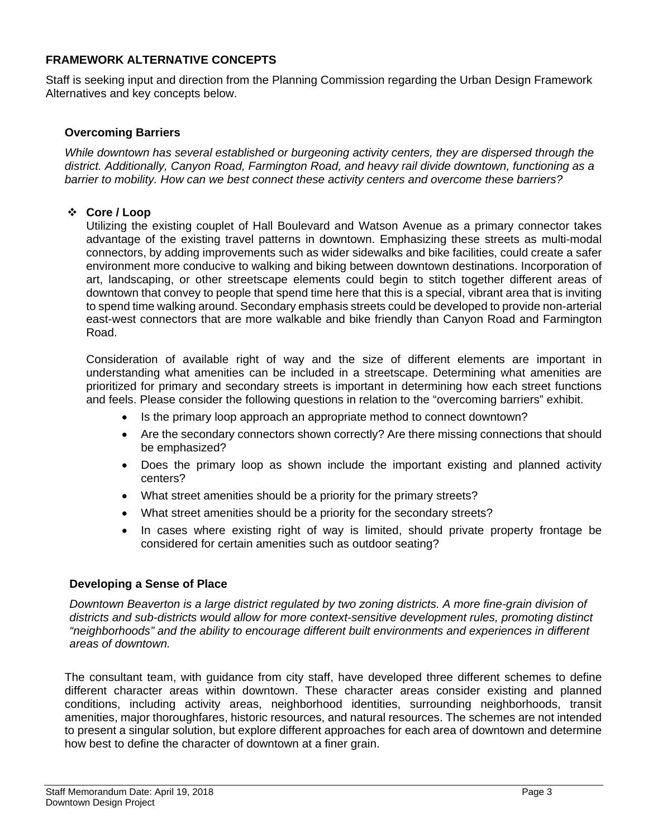### **FRAMEWORK ALTERNATIVE CONCEPTS**

Staff is seeking input and direction from the Planning Commission regarding the Urban Design Framework Alternatives and key concepts below.

#### **Overcoming Barriers**

*While downtown has several established or burgeoning activity centers, they are dispersed through the district. Additionally, Canyon Road, Farmington Road, and heavy rail divide downtown, functioning as a barrier to mobility. How can we best connect these activity centers and overcome these barriers?* 

#### **Core / Loop**

Utilizing the existing couplet of Hall Boulevard and Watson Avenue as a primary connector takes advantage of the existing travel patterns in downtown. Emphasizing these streets as multi-modal connectors, by adding improvements such as wider sidewalks and bike facilities, could create a safer environment more conducive to walking and biking between downtown destinations. Incorporation of art, landscaping, or other streetscape elements could begin to stitch together different areas of downtown that convey to people that spend time here that this is a special, vibrant area that is inviting to spend time walking around. Secondary emphasis streets could be developed to provide non-arterial east-west connectors that are more walkable and bike friendly than Canyon Road and Farmington Road.

Consideration of available right of way and the size of different elements are important in understanding what amenities can be included in a streetscape. Determining what amenities are prioritized for primary and secondary streets is important in determining how each street functions and feels. Please consider the following questions in relation to the "overcoming barriers" exhibit.

- Is the primary loop approach an appropriate method to connect downtown?
- Are the secondary connectors shown correctly? Are there missing connections that should be emphasized?
- Does the primary loop as shown include the important existing and planned activity centers?
- What street amenities should be a priority for the primary streets?
- What street amenities should be a priority for the secondary streets?
- In cases where existing right of way is limited, should private property frontage be considered for certain amenities such as outdoor seating?

#### **Developing a Sense of Place**

*Downtown Beaverton is a large district regulated by two zoning districts. A more fine-grain division of districts and sub-districts would allow for more context-sensitive development rules, promoting distinct "neighborhoods" and the ability to encourage different built environments and experiences in different areas of downtown.* 

The consultant team, with guidance from city staff, have developed three different schemes to define different character areas within downtown. These character areas consider existing and planned conditions, including activity areas, neighborhood identities, surrounding neighborhoods, transit amenities, major thoroughfares, historic resources, and natural resources. The schemes are not intended to present a singular solution, but explore different approaches for each area of downtown and determine how best to define the character of downtown at a finer grain.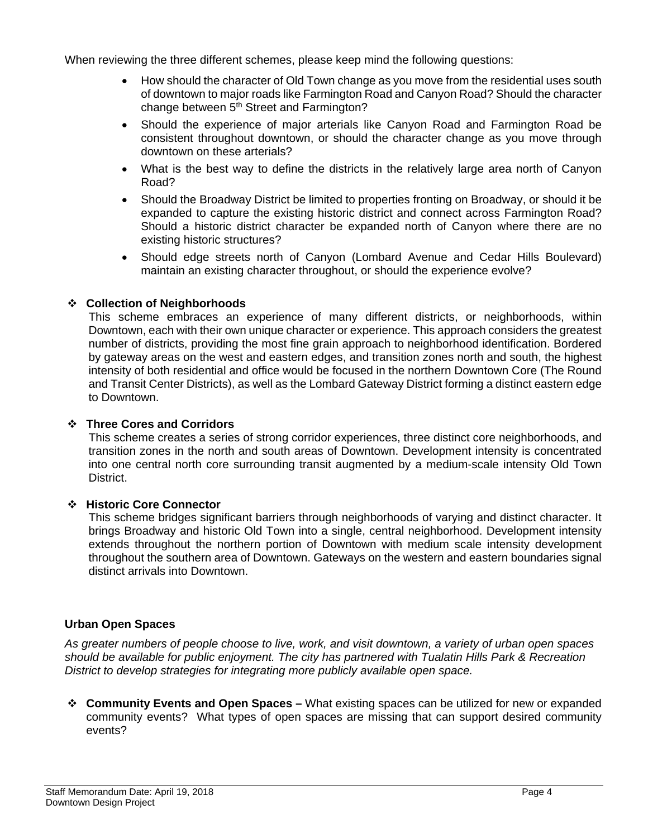When reviewing the three different schemes, please keep mind the following questions:

- How should the character of Old Town change as you move from the residential uses south of downtown to major roads like Farmington Road and Canyon Road? Should the character change between 5<sup>th</sup> Street and Farmington?
- Should the experience of major arterials like Canyon Road and Farmington Road be consistent throughout downtown, or should the character change as you move through downtown on these arterials?
- What is the best way to define the districts in the relatively large area north of Canyon Road?
- Should the Broadway District be limited to properties fronting on Broadway, or should it be expanded to capture the existing historic district and connect across Farmington Road? Should a historic district character be expanded north of Canyon where there are no existing historic structures?
- Should edge streets north of Canyon (Lombard Avenue and Cedar Hills Boulevard) maintain an existing character throughout, or should the experience evolve?

#### **Collection of Neighborhoods**

This scheme embraces an experience of many different districts, or neighborhoods, within Downtown, each with their own unique character or experience. This approach considers the greatest number of districts, providing the most fine grain approach to neighborhood identification. Bordered by gateway areas on the west and eastern edges, and transition zones north and south, the highest intensity of both residential and office would be focused in the northern Downtown Core (The Round and Transit Center Districts), as well as the Lombard Gateway District forming a distinct eastern edge to Downtown.

#### **Three Cores and Corridors**

This scheme creates a series of strong corridor experiences, three distinct core neighborhoods, and transition zones in the north and south areas of Downtown. Development intensity is concentrated into one central north core surrounding transit augmented by a medium-scale intensity Old Town District.

#### **Historic Core Connector**

This scheme bridges significant barriers through neighborhoods of varying and distinct character. It brings Broadway and historic Old Town into a single, central neighborhood. Development intensity extends throughout the northern portion of Downtown with medium scale intensity development throughout the southern area of Downtown. Gateways on the western and eastern boundaries signal distinct arrivals into Downtown.

#### **Urban Open Spaces**

*As greater numbers of people choose to live, work, and visit downtown, a variety of urban open spaces should be available for public enjoyment. The city has partnered with Tualatin Hills Park & Recreation District to develop strategies for integrating more publicly available open space.* 

 **Community Events and Open Spaces –** What existing spaces can be utilized for new or expanded community events? What types of open spaces are missing that can support desired community events?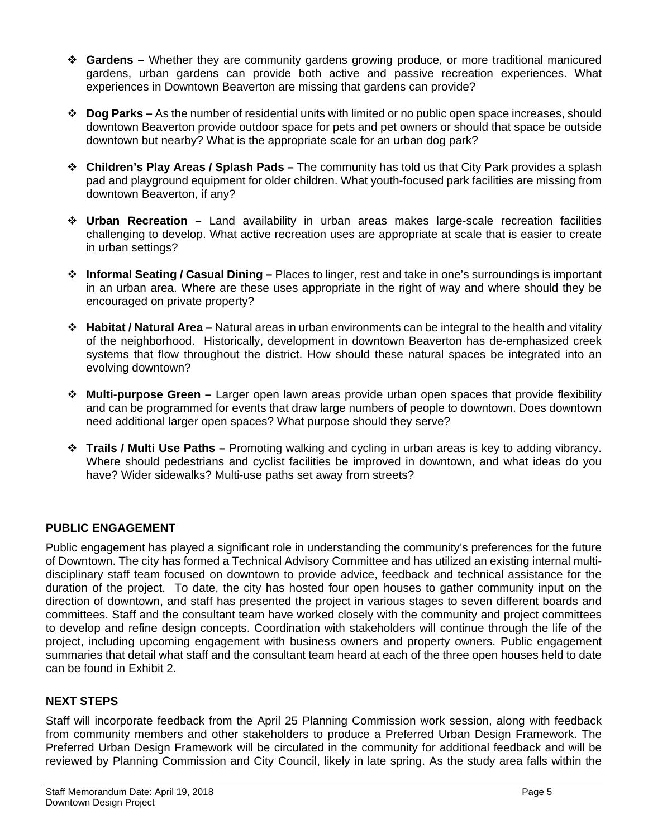- **Gardens –** Whether they are community gardens growing produce, or more traditional manicured gardens, urban gardens can provide both active and passive recreation experiences. What experiences in Downtown Beaverton are missing that gardens can provide?
- **Dog Parks** As the number of residential units with limited or no public open space increases, should downtown Beaverton provide outdoor space for pets and pet owners or should that space be outside downtown but nearby? What is the appropriate scale for an urban dog park?
- **Children's Play Areas / Splash Pads** The community has told us that City Park provides a splash pad and playground equipment for older children. What youth-focused park facilities are missing from downtown Beaverton, if any?
- **Urban Recreation** Land availability in urban areas makes large-scale recreation facilities challenging to develop. What active recreation uses are appropriate at scale that is easier to create in urban settings?
- **Informal Seating / Casual Dining** Places to linger, rest and take in one's surroundings is important in an urban area. Where are these uses appropriate in the right of way and where should they be encouraged on private property?
- **Habitat / Natural Area** Natural areas in urban environments can be integral to the health and vitality of the neighborhood. Historically, development in downtown Beaverton has de-emphasized creek systems that flow throughout the district. How should these natural spaces be integrated into an evolving downtown?
- **Multi-purpose Green** Larger open lawn areas provide urban open spaces that provide flexibility and can be programmed for events that draw large numbers of people to downtown. Does downtown need additional larger open spaces? What purpose should they serve?
- **Trails / Multi Use Paths** Promoting walking and cycling in urban areas is key to adding vibrancy. Where should pedestrians and cyclist facilities be improved in downtown, and what ideas do you have? Wider sidewalks? Multi-use paths set away from streets?

## **PUBLIC ENGAGEMENT**

Public engagement has played a significant role in understanding the community's preferences for the future of Downtown. The city has formed a Technical Advisory Committee and has utilized an existing internal multidisciplinary staff team focused on downtown to provide advice, feedback and technical assistance for the duration of the project. To date, the city has hosted four open houses to gather community input on the direction of downtown, and staff has presented the project in various stages to seven different boards and committees. Staff and the consultant team have worked closely with the community and project committees to develop and refine design concepts. Coordination with stakeholders will continue through the life of the project, including upcoming engagement with business owners and property owners. Public engagement summaries that detail what staff and the consultant team heard at each of the three open houses held to date can be found in Exhibit 2.

## **NEXT STEPS**

Staff will incorporate feedback from the April 25 Planning Commission work session, along with feedback from community members and other stakeholders to produce a Preferred Urban Design Framework. The Preferred Urban Design Framework will be circulated in the community for additional feedback and will be reviewed by Planning Commission and City Council, likely in late spring. As the study area falls within the